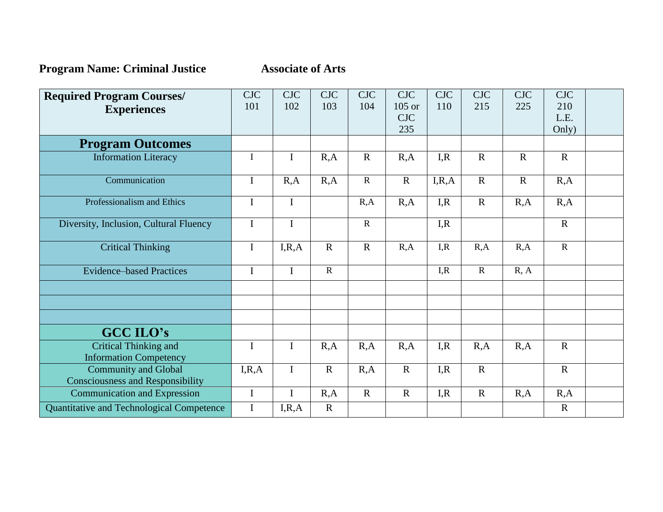**Program Name: Criminal Justice Associate of Arts** 

| <b>Required Program Courses/</b>                                       | <b>CJC</b>  | <b>CJC</b>  | <b>CJC</b>  | <b>CJC</b>     | <b>CJC</b>             | <b>CJC</b> | <b>CJC</b>     | <b>CJC</b>  | <b>CJC</b>     |  |
|------------------------------------------------------------------------|-------------|-------------|-------------|----------------|------------------------|------------|----------------|-------------|----------------|--|
| <b>Experiences</b>                                                     | 101         | 102         | 103         | 104            | $105$ or<br><b>CJC</b> | 110        | 215            | 225         | 210<br>L.E.    |  |
|                                                                        |             |             |             |                | 235                    |            |                |             | Only)          |  |
| <b>Program Outcomes</b>                                                |             |             |             |                |                        |            |                |             |                |  |
| <b>Information Literacy</b>                                            | I           | $\mathbf I$ | R, A        | $\mathbf R$    | R, A                   | I, R       | $\mathbf R$    | $\mathbf R$ | $\mathbf R$    |  |
| Communication                                                          | I           | R, A        | R, A        | $\overline{R}$ | $\overline{R}$         | I, R, A    | $\overline{R}$ | $\mathbf R$ | R, A           |  |
| Professionalism and Ethics                                             |             | $\mathbf I$ |             | R, A           | R, A                   | I, R       | $\mathbf R$    | R, A        | R, A           |  |
| Diversity, Inclusion, Cultural Fluency                                 |             | $\mathbf I$ |             | ${\bf R}$      |                        | I, R       |                |             | $\mathbf R$    |  |
| <b>Critical Thinking</b>                                               | $\mathbf I$ | I, R, A     | $\mathbf R$ | $\mathbf R$    | R, A                   | I, R       | R, A           | R, A        | $\overline{R}$ |  |
| <b>Evidence-based Practices</b>                                        | $\mathbf I$ | $\mathbf I$ | $\mathbf R$ |                |                        | I, R       | $\mathbf R$    | R, A        |                |  |
|                                                                        |             |             |             |                |                        |            |                |             |                |  |
|                                                                        |             |             |             |                |                        |            |                |             |                |  |
| <b>GCC ILO's</b>                                                       |             |             |             |                |                        |            |                |             |                |  |
| <b>Critical Thinking and</b><br><b>Information Competency</b>          |             | $\mathbf I$ | R, A        | R, A           | R, A                   | I, R       | R, A           | R, A        | $\mathbf R$    |  |
| <b>Community and Global</b><br><b>Consciousness and Responsibility</b> | I, R, A     | $\mathbf I$ | $\mathbf R$ | R, A           | $\mathbf R$            | I, R       | $\mathbf R$    |             | $\mathbf R$    |  |
| <b>Communication and Expression</b>                                    | $\mathbf I$ | $\bf{I}$    | R, A        | $\mathbf{R}$   | $\mathbf R$            | I, R       | $\mathbf{R}$   | R, A        | R, A           |  |
| Quantitative and Technological Competence                              | $\bf I$     | I, R, A     | $\mathbf R$ |                |                        |            |                |             | $\mathbf R$    |  |